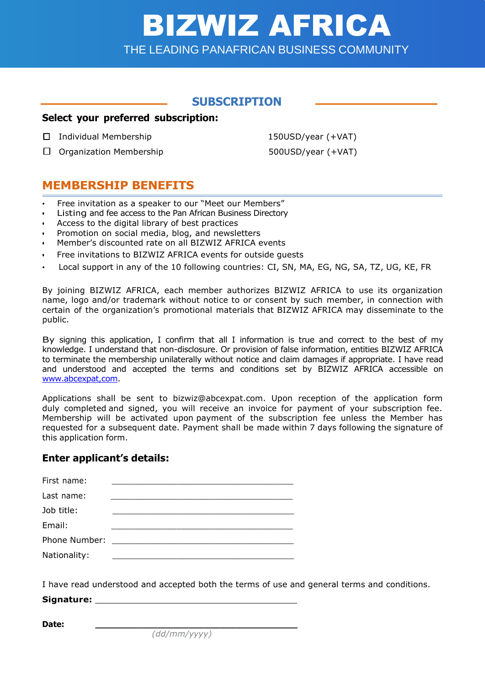# *BIZWIZ MEMBERSHIP APPLICATION FORM (1/4)* BIZWIZ AFRICA THE LEADING PANAFRICAN BUSINESS COMMUNITY

# **SUBSCRIPTION**

#### **Select your preferred subscription:**

- ☒ Individual Membership 150USD/year (+VAT)
- ☐ Organization Membership 500USD/year (+VAT)

# **MEMBERSHIP BENEFITS**

- Free invitation as a speaker to our "Meet our Members"
- Listing and fee access to the Pan African Business Directory
- Access to the digital library of best practices
- Promotion on social media, blog, and newsletters
- Member's discounted rate on all BIZWIZ AFRICA events
- Free invitations to BIZWIZ AFRICA events for outside quests
- Local support in any of the 10 following countries: CI, SN, MA, EG, NG, SA, TZ, UG, KE, FR

By joining BIZWIZ AFRICA, each member authorizes BIZWIZ AFRICA to use its organization name, logo and/or trademark without notice to or consent by such member, in connection with certain of the organization's promotional materials that BIZWIZ AFRICA may disseminate to the public.

By signing this application, I confirm that all I information is true and correct to the best of my knowledge. I understand that non-disclosure. Or provision of false information, entities BIZWIZ AFRICA to terminate the membership unilaterally without notice and claim damages if appropriate. I have read and understood and accepted the terms and conditions set by BIZWIZ AFRICA accessible on [www.abcexpat,com.](http://www.abcexpat,com/)

Applications shall be sent to [bizwiz@abcexpat.com.](mailto:bizwiz@abcexpat.com) Upon reception of the application form duly completed and signed, you will receive an invoice for payment of your subscription fee. Membership will be activated upon payment of the subscription fee unless the Member has requested for a subsequent date. Payment shall be made within 7 days following the signature of this application form.

#### **Enter applicant's details:**

| First name:  |                                                                                                                                                                                                                               |
|--------------|-------------------------------------------------------------------------------------------------------------------------------------------------------------------------------------------------------------------------------|
| Last name:   |                                                                                                                                                                                                                               |
| Job title:   |                                                                                                                                                                                                                               |
| Email:       |                                                                                                                                                                                                                               |
|              | Phone Number: The Contract of the Contract of the Contract of the Contract of the Contract of the Contract of the Contract of the Contract of the Contract of the Contract of the Contract of the Contract of the Contract of |
| Nationality: |                                                                                                                                                                                                                               |

I have read understood and accepted both the terms of use and general terms and conditions. **Signature:** \_\_\_\_\_\_\_\_\_\_\_\_\_\_\_\_\_\_\_\_\_\_\_\_\_\_\_\_\_\_\_\_\_\_\_\_\_\_\_

**Date: \_\_\_\_\_\_\_\_\_\_\_\_\_\_\_\_\_\_\_\_\_\_\_\_\_\_\_\_\_\_\_\_\_\_\_\_\_\_\_**

*(dd/mm/yyyy)*